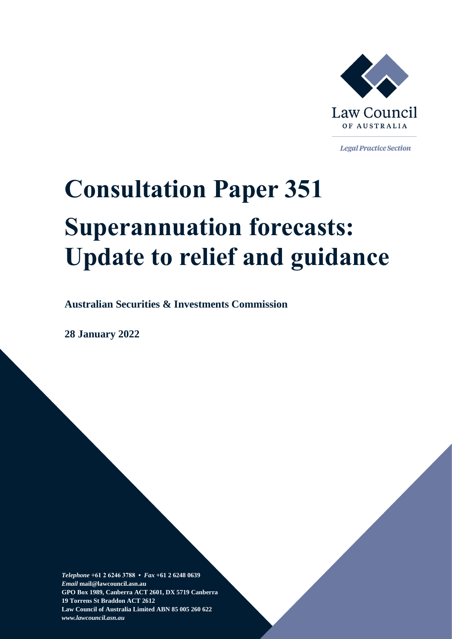

**Legal Practice Section** 

# **Consultation Paper 351 Superannuation forecasts: Update to relief and guidance**

**Australian Securities & Investments Commission** 

**28 January 2022**

*Telephone* **+61 2 6246 3788 •** *Fax* **+61 2 6248 0639**  *Email* **mail@lawcouncil.asn.au GPO Box 1989, Canberra ACT 2601, DX 5719 Canberra 19 Torrens St Braddon ACT 2612 Law Council of Australia Limited ABN 85 005 260 622** *www.lawcouncil.asn.au*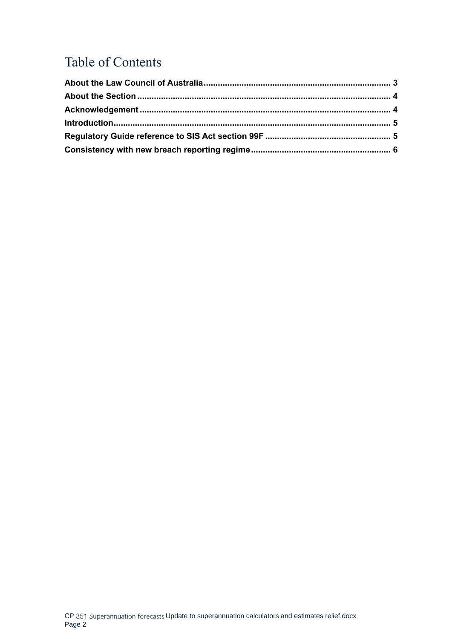# Table of Contents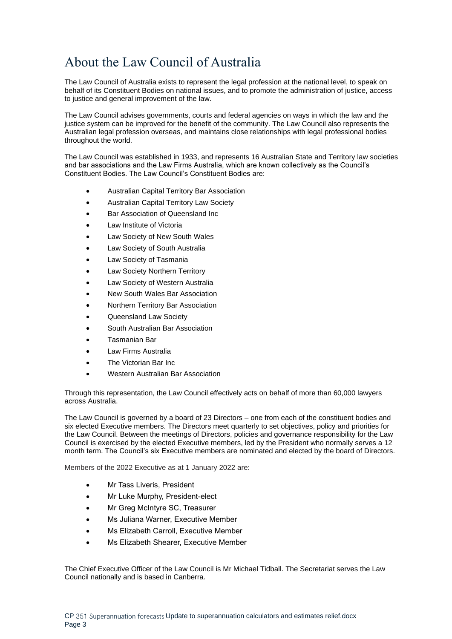## <span id="page-2-0"></span>About the Law Council of Australia

The Law Council of Australia exists to represent the legal profession at the national level, to speak on behalf of its Constituent Bodies on national issues, and to promote the administration of justice, access to justice and general improvement of the law.

The Law Council advises governments, courts and federal agencies on ways in which the law and the justice system can be improved for the benefit of the community. The Law Council also represents the Australian legal profession overseas, and maintains close relationships with legal professional bodies throughout the world.

The Law Council was established in 1933, and represents 16 Australian State and Territory law societies and bar associations and the Law Firms Australia, which are known collectively as the Council's Constituent Bodies. The Law Council's Constituent Bodies are:

- Australian Capital Territory Bar Association
- Australian Capital Territory Law Society
- Bar Association of Queensland Inc
- Law Institute of Victoria
- Law Society of New South Wales
- Law Society of South Australia
- Law Society of Tasmania
- Law Society Northern Territory
- Law Society of Western Australia
- New South Wales Bar Association
- Northern Territory Bar Association
- Queensland Law Society
- South Australian Bar Association
- Tasmanian Bar
- Law Firms Australia
- The Victorian Bar Inc
- Western Australian Bar Association

Through this representation, the Law Council effectively acts on behalf of more than 60,000 lawyers across Australia.

The Law Council is governed by a board of 23 Directors – one from each of the constituent bodies and six elected Executive members. The Directors meet quarterly to set objectives, policy and priorities for the Law Council. Between the meetings of Directors, policies and governance responsibility for the Law Council is exercised by the elected Executive members, led by the President who normally serves a 12 month term. The Council's six Executive members are nominated and elected by the board of Directors.

Members of the 2022 Executive as at 1 January 2022 are:

- Mr Tass Liveris, President
- Mr Luke Murphy, President-elect
- Mr Greg McIntyre SC, Treasurer
- Ms Juliana Warner, Executive Member
- Ms Elizabeth Carroll, Executive Member
- Ms Elizabeth Shearer, Executive Member

The Chief Executive Officer of the Law Council is Mr Michael Tidball. The Secretariat serves the Law Council nationally and is based in Canberra.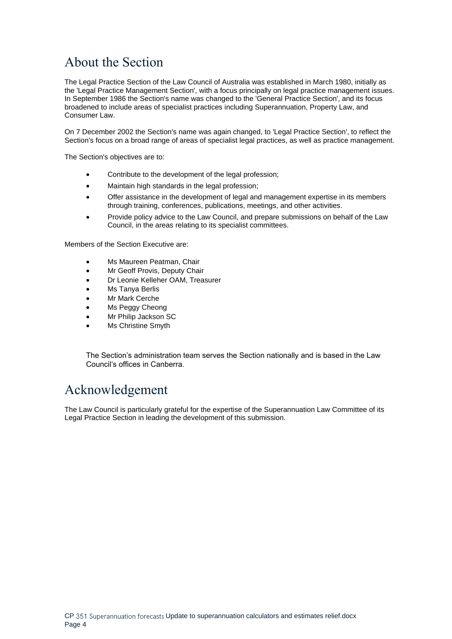#### <span id="page-3-0"></span>About the Section

The Legal Practice Section of the Law Council of Australia was established in March 1980, initially as the 'Legal Practice Management Section', with a focus principally on legal practice management issues. In September 1986 the Section's name was changed to the 'General Practice Section', and its focus broadened to include areas of specialist practices including Superannuation, Property Law, and Consumer Law.

On 7 December 2002 the Section's name was again changed, to 'Legal Practice Section', to reflect the Section's focus on a broad range of areas of specialist legal practices, as well as practice management.

The Section's objectives are to:

- Contribute to the development of the legal profession;
- Maintain high standards in the legal profession;
- Offer assistance in the development of legal and management expertise in its members through training, conferences, publications, meetings, and other activities.
- Provide policy advice to the Law Council, and prepare submissions on behalf of the Law Council, in the areas relating to its specialist committees.

Members of the Section Executive are:

- Ms Maureen Peatman, Chair
- Mr Geoff Provis, Deputy Chair
- Dr Leonie Kelleher OAM, Treasurer
- Ms Tanya Berlis
- **Mr Mark Cerche**
- Ms Peggy Cheong
- Mr Philip Jackson SC
- Ms Christine Smyth

The Section's administration team serves the Section nationally and is based in the Law Council's offices in Canberra.

#### <span id="page-3-1"></span>Acknowledgement

The Law Council is particularly grateful for the expertise of the Superannuation Law Committee of its Legal Practice Section in leading the development of this submission.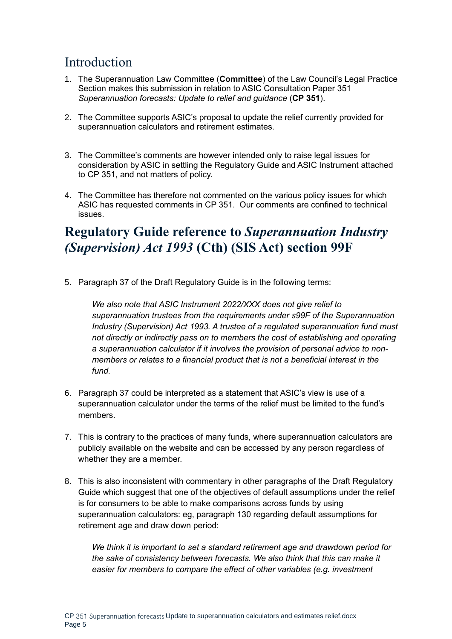#### <span id="page-4-0"></span>Introduction

- 1. The Superannuation Law Committee (**Committee**) of the Law Council's Legal Practice Section makes this submission in relation to ASIC Consultation Paper 351 *Superannuation forecasts: Update to relief and guidance* (**CP 351**).
- 2. The Committee supports ASIC's proposal to update the relief currently provided for superannuation calculators and retirement estimates.
- 3. The Committee's comments are however intended only to raise legal issues for consideration by ASIC in settling the Regulatory Guide and ASIC Instrument attached to CP 351, and not matters of policy.
- 4. The Committee has therefore not commented on the various policy issues for which ASIC has requested comments in CP 351. Our comments are confined to technical issues.

## <span id="page-4-1"></span>**Regulatory Guide reference to** *Superannuation Industry (Supervision) Act 1993* **(Cth) (SIS Act) section 99F**

5. Paragraph 37 of the Draft Regulatory Guide is in the following terms:

*We also note that ASIC Instrument 2022/XXX does not give relief to superannuation trustees from the requirements under s99F of the Superannuation Industry (Supervision) Act 1993. A trustee of a regulated superannuation fund must not directly or indirectly pass on to members the cost of establishing and operating a superannuation calculator if it involves the provision of personal advice to nonmembers or relates to a financial product that is not a beneficial interest in the fund.*

- 6. Paragraph 37 could be interpreted as a statement that ASIC's view is use of a superannuation calculator under the terms of the relief must be limited to the fund's members.
- 7. This is contrary to the practices of many funds, where superannuation calculators are publicly available on the website and can be accessed by any person regardless of whether they are a member.
- 8. This is also inconsistent with commentary in other paragraphs of the Draft Regulatory Guide which suggest that one of the objectives of default assumptions under the relief is for consumers to be able to make comparisons across funds by using superannuation calculators: eg, paragraph 130 regarding default assumptions for retirement age and draw down period:

*We think it is important to set a standard retirement age and drawdown period for the sake of consistency between forecasts. We also think that this can make it easier for members to compare the effect of other variables (e.g. investment*